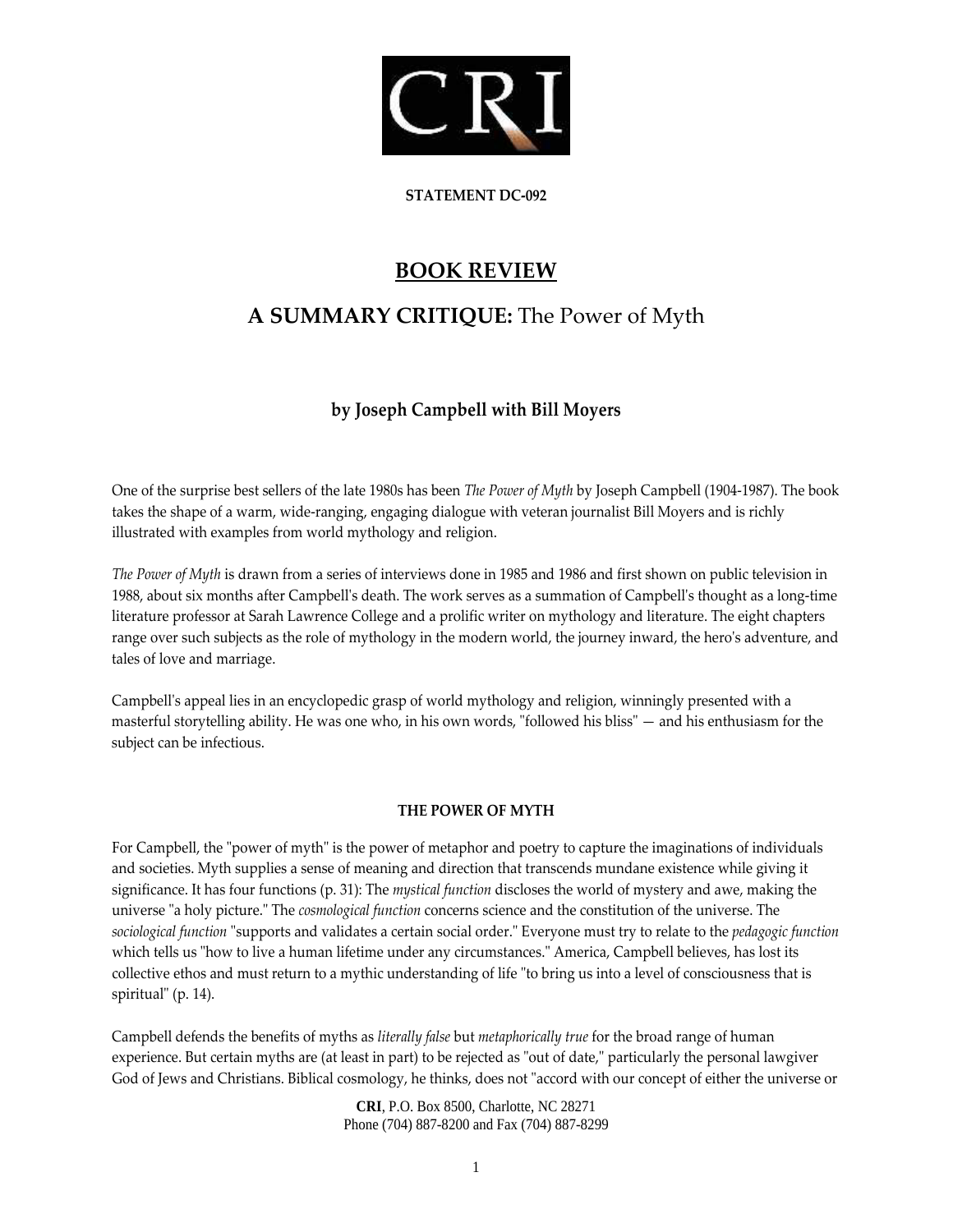

**STATEMENT DC‐092**

## **BOOK REVIEW**

# **A SUMMARY CRITIQUE:** The Power of Myth

### **by Joseph Campbell with Bill Moyers**

One of the surprise best sellers of the late 1980s has been *The Power of Myth* by Joseph Campbell (1904‐1987). The book takes the shape of a warm, wide‐ranging, engaging dialogue with veteran journalist Bill Moyers and is richly illustrated with examples from world mythology and religion.

*The Power of Myth* is drawn from a series of interviews done in 1985 and 1986 and first shown on public television in 1988, about six months after Campbellʹs death. The work serves as a summation of Campbellʹs thought as a long‐time literature professor at Sarah Lawrence College and a prolific writer on mythology and literature. The eight chapters range over such subjects as the role of mythology in the modern world, the journey inward, the hero's adventure, and tales of love and marriage.

Campbellʹs appeal lies in an encyclopedic grasp of world mythology and religion, winningly presented with a masterful storytelling ability. He was one who, in his own words, "followed his bliss" — and his enthusiasm for the subject can be infectious.

#### **THE POWER OF MYTH**

For Campbell, the "power of myth" is the power of metaphor and poetry to capture the imaginations of individuals and societies. Myth supplies a sense of meaning and direction that transcends mundane existence while giving it significance. It has four functions (p. 31): The *mystical function* discloses the world of mystery and awe, making the universe "a holy picture." The *cosmological function* concerns science and the constitution of the universe. The *sociological function* ʺsupports and validates a certain social order.ʺ Everyone must try to relate to the *pedagogic function* which tells us "how to live a human lifetime under any circumstances." America, Campbell believes, has lost its collective ethos and must return to a mythic understanding of life "to bring us into a level of consciousness that is spiritual" (p. 14).

Campbell defends the benefits of myths as *literally false* but *metaphorically true* for the broad range of human experience. But certain myths are (at least in part) to be rejected as "out of date," particularly the personal lawgiver God of Jews and Christians. Biblical cosmology, he thinks, does not "accord with our concept of either the universe or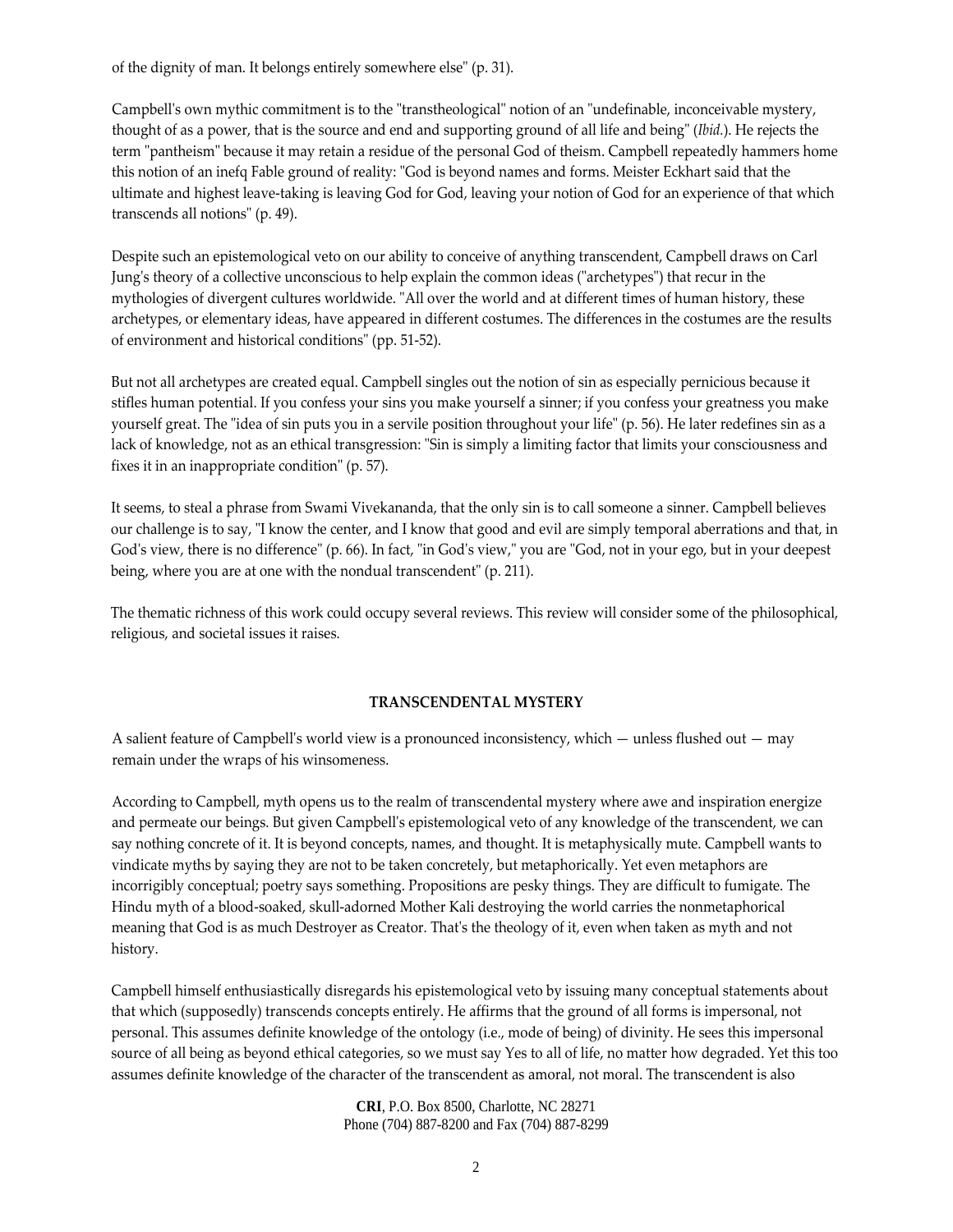of the dignity of man. It belongs entirely somewhere else" (p. 31).

Campbell's own mythic commitment is to the "transtheological" notion of an "undefinable, inconceivable mystery, thought of as a power, that is the source and end and supporting ground of all life and being" (*Ibid.*). He rejects the term "pantheism" because it may retain a residue of the personal God of theism. Campbell repeatedly hammers home this notion of an inefq Fable ground of reality: "God is beyond names and forms. Meister Eckhart said that the ultimate and highest leave-taking is leaving God for God, leaving your notion of God for an experience of that which transcends all notions" (p. 49).

Despite such an epistemological veto on our ability to conceive of anything transcendent, Campbell draws on Carl Jung's theory of a collective unconscious to help explain the common ideas ("archetypes") that recur in the mythologies of divergent cultures worldwide. "All over the world and at different times of human history, these archetypes, or elementary ideas, have appeared in different costumes. The differences in the costumes are the results of environment and historical conditions" (pp. 51-52).

But not all archetypes are created equal. Campbell singles out the notion of sin as especially pernicious because it stifles human potential. If you confess your sins you make yourself a sinner; if you confess your greatness you make yourself great. The "idea of sin puts you in a servile position throughout your life" (p. 56). He later redefines sin as a lack of knowledge, not as an ethical transgression: "Sin is simply a limiting factor that limits your consciousness and fixes it in an inappropriate condition"  $(p. 57)$ .

It seems, to steal a phrase from Swami Vivekananda, that the only sin is to call someone a sinner. Campbell believes our challenge is to say, "I know the center, and I know that good and evil are simply temporal aberrations and that, in God's view, there is no difference" (p. 66). In fact, "in God's view," you are "God, not in your ego, but in your deepest being, where you are at one with the nondual transcendent" (p. 211).

The thematic richness of this work could occupy several reviews. This review will consider some of the philosophical, religious, and societal issues it raises.

#### **TRANSCENDENTAL MYSTERY**

A salient feature of Campbell's world view is a pronounced inconsistency, which  $-$  unless flushed out  $-$  may remain under the wraps of his winsomeness.

According to Campbell, myth opens us to the realm of transcendental mystery where awe and inspiration energize and permeate our beings. But given Campbellʹs epistemological veto of any knowledge of the transcendent, we can say nothing concrete of it. It is beyond concepts, names, and thought. It is metaphysically mute. Campbell wants to vindicate myths by saying they are not to be taken concretely, but metaphorically. Yet even metaphors are incorrigibly conceptual; poetry says something. Propositions are pesky things. They are difficult to fumigate. The Hindu myth of a blood‐soaked, skull‐adorned Mother Kali destroying the world carries the nonmetaphorical meaning that God is as much Destroyer as Creator. That's the theology of it, even when taken as myth and not history.

Campbell himself enthusiastically disregards his epistemological veto by issuing many conceptual statements about that which (supposedly) transcends concepts entirely. He affirms that the ground of all forms is impersonal, not personal. This assumes definite knowledge of the ontology (i.e., mode of being) of divinity. He sees this impersonal source of all being as beyond ethical categories, so we must say Yes to all of life, no matter how degraded. Yet this too assumes definite knowledge of the character of the transcendent as amoral, not moral. The transcendent is also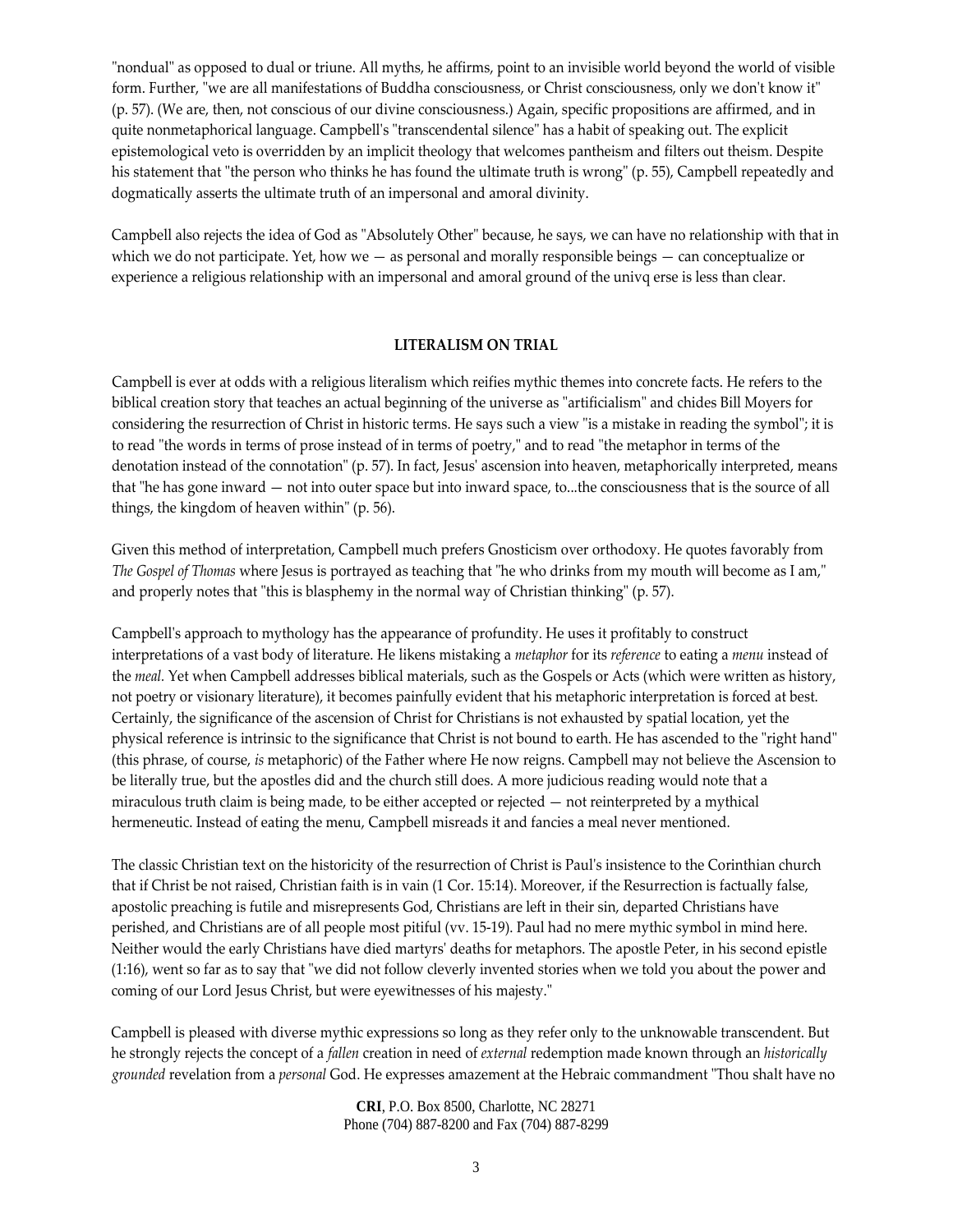ʺnondualʺ as opposed to dual or triune. All myths, he affirms, point to an invisible world beyond the world of visible form. Further, "we are all manifestations of Buddha consciousness, or Christ consciousness, only we don't know it" (p. 57). (We are, then, not conscious of our divine consciousness.) Again, specific propositions are affirmed, and in quite nonmetaphorical language. Campbell's "transcendental silence" has a habit of speaking out. The explicit epistemological veto is overridden by an implicit theology that welcomes pantheism and filters out theism. Despite his statement that "the person who thinks he has found the ultimate truth is wrong" (p. 55), Campbell repeatedly and dogmatically asserts the ultimate truth of an impersonal and amoral divinity.

Campbell also rejects the idea of God as "Absolutely Other" because, he says, we can have no relationship with that in which we do not participate. Yet, how we  $-$  as personal and morally responsible beings  $-$  can conceptualize or experience a religious relationship with an impersonal and amoral ground of the univq erse is less than clear.

#### **LITERALISM ON TRIAL**

Campbell is ever at odds with a religious literalism which reifies mythic themes into concrete facts. He refers to the biblical creation story that teaches an actual beginning of the universe as "artificialism" and chides Bill Moyers for considering the resurrection of Christ in historic terms. He says such a view "is a mistake in reading the symbol"; it is to read "the words in terms of prose instead of in terms of poetry," and to read "the metaphor in terms of the denotation instead of the connotation" (p. 57). In fact, Jesus' ascension into heaven, metaphorically interpreted, means that "he has gone inward — not into outer space but into inward space, to...the consciousness that is the source of all things, the kingdom of heaven within"  $(p. 56)$ .

Given this method of interpretation, Campbell much prefers Gnosticism over orthodoxy. He quotes favorably from *The Gospel of Thomas* where Jesus is portrayed as teaching that "he who drinks from my mouth will become as I am," and properly notes that "this is blasphemy in the normal way of Christian thinking"  $(p. 57)$ .

Campbellʹs approach to mythology has the appearance of profundity. He uses it profitably to construct interpretations of a vast body of literature. He likens mistaking a *metaphor* for its *reference* to eating a *menu* instead of the *meal.* Yet when Campbell addresses biblical materials, such as the Gospels or Acts (which were written as history, not poetry or visionary literature), it becomes painfully evident that his metaphoric interpretation is forced at best. Certainly, the significance of the ascension of Christ for Christians is not exhausted by spatial location, yet the physical reference is intrinsic to the significance that Christ is not bound to earth. He has ascended to the "right hand" (this phrase, of course, *is* metaphoric) of the Father where He now reigns. Campbell may not believe the Ascension to be literally true, but the apostles did and the church still does. A more judicious reading would note that a miraculous truth claim is being made, to be either accepted or rejected — not reinterpreted by a mythical hermeneutic. Instead of eating the menu, Campbell misreads it and fancies a meal never mentioned.

The classic Christian text on the historicity of the resurrection of Christ is Paulʹs insistence to the Corinthian church that if Christ be not raised, Christian faith is in vain (1 Cor. 15:14). Moreover, if the Resurrection is factually false, apostolic preaching is futile and misrepresents God, Christians are left in their sin, departed Christians have perished, and Christians are of all people most pitiful (vv. 15‐19). Paul had no mere mythic symbol in mind here. Neither would the early Christians have died martyrsʹ deaths for metaphors. The apostle Peter, in his second epistle  $(1:16)$ , went so far as to say that "we did not follow cleverly invented stories when we told you about the power and coming of our Lord Jesus Christ, but were eyewitnesses of his majesty."

Campbell is pleased with diverse mythic expressions so long as they refer only to the unknowable transcendent. But he strongly rejects the concept of a *fallen* creation in need of *external* redemption made known through an *historically grounded* revelation from a *personal* God. He expresses amazement at the Hebraic commandment ʺThou shalt have no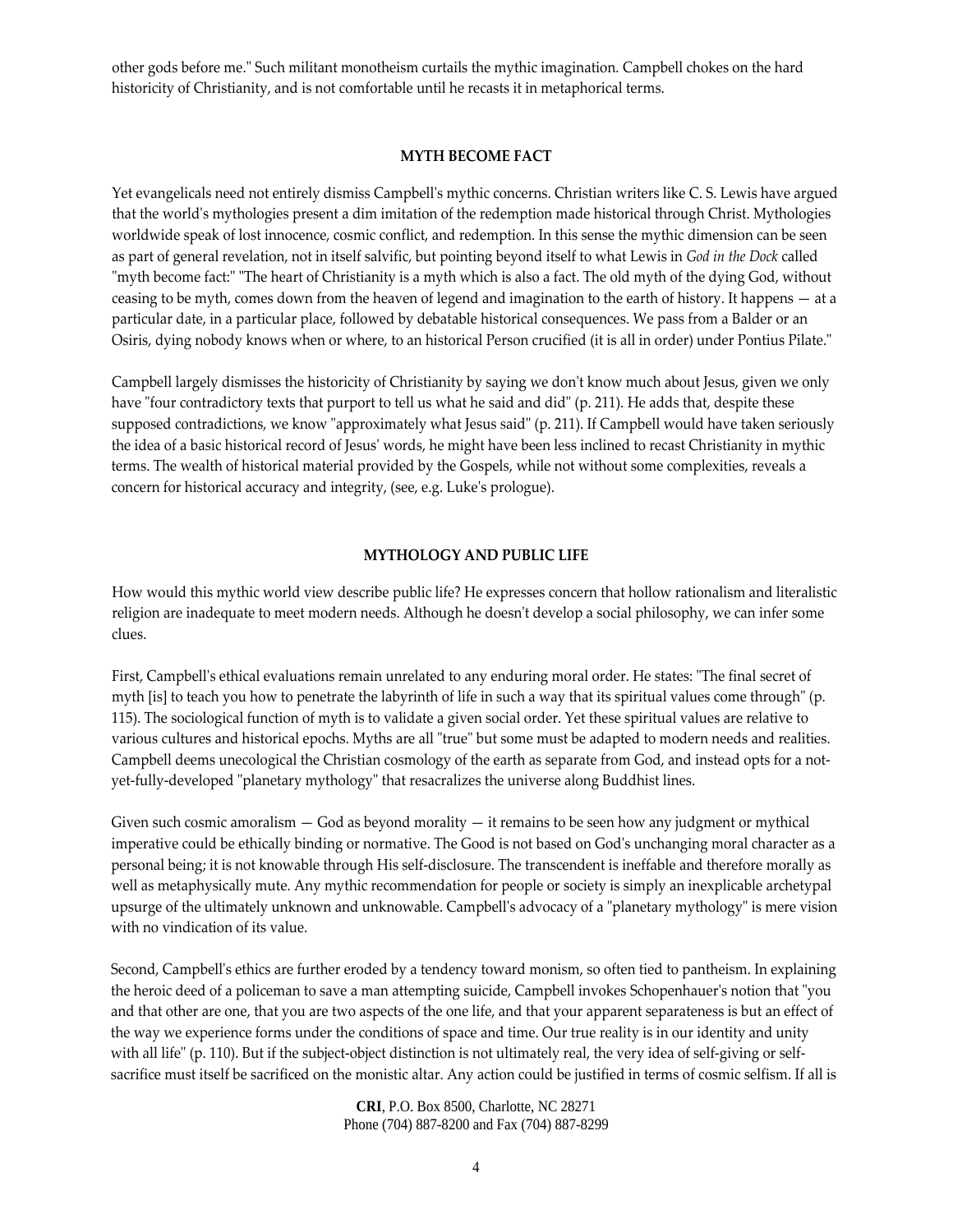other gods before me." Such militant monotheism curtails the mythic imagination. Campbell chokes on the hard historicity of Christianity, and is not comfortable until he recasts it in metaphorical terms.

#### **MYTH BECOME FACT**

Yet evangelicals need not entirely dismiss Campbell's mythic concerns. Christian writers like C. S. Lewis have argued that the worldʹs mythologies present a dim imitation of the redemption made historical through Christ. Mythologies worldwide speak of lost innocence, cosmic conflict, and redemption. In this sense the mythic dimension can be seen as part of general revelation, not in itself salvific, but pointing beyond itself to what Lewis in *God in the Dock* called "myth become fact:" "The heart of Christianity is a myth which is also a fact. The old myth of the dying God, without ceasing to be myth, comes down from the heaven of legend and imagination to the earth of history. It happens — at a particular date, in a particular place, followed by debatable historical consequences. We pass from a Balder or an Osiris, dying nobody knows when or where, to an historical Person crucified (it is all in order) under Pontius Pilate."

Campbell largely dismisses the historicity of Christianity by saying we don't know much about Jesus, given we only have "four contradictory texts that purport to tell us what he said and did" (p. 211). He adds that, despite these supposed contradictions, we know "approximately what Jesus said" (p. 211). If Campbell would have taken seriously the idea of a basic historical record of Jesusʹ words, he might have been less inclined to recast Christianity in mythic terms. The wealth of historical material provided by the Gospels, while not without some complexities, reveals a concern for historical accuracy and integrity, (see, e.g. Lukeʹs prologue).

#### **MYTHOLOGY AND PUBLIC LIFE**

How would this mythic world view describe public life? He expresses concern that hollow rationalism and literalistic religion are inadequate to meet modern needs. Although he doesn't develop a social philosophy, we can infer some clues.

First, Campbell's ethical evaluations remain unrelated to any enduring moral order. He states: "The final secret of myth [is] to teach you how to penetrate the labyrinth of life in such a way that its spiritual values come through" (p. 115). The sociological function of myth is to validate a given social order. Yet these spiritual values are relative to various cultures and historical epochs. Myths are all "true" but some must be adapted to modern needs and realities. Campbell deems unecological the Christian cosmology of the earth as separate from God, and instead opts for a not‐ yet-fully-developed "planetary mythology" that resacralizes the universe along Buddhist lines.

Given such cosmic amoralism  $-$  God as beyond morality  $-$  it remains to be seen how any judgment or mythical imperative could be ethically binding or normative. The Good is not based on Godʹs unchanging moral character as a personal being; it is not knowable through His self‐disclosure. The transcendent is ineffable and therefore morally as well as metaphysically mute. Any mythic recommendation for people or society is simply an inexplicable archetypal upsurge of the ultimately unknown and unknowable. Campbell's advocacy of a "planetary mythology" is mere vision with no vindication of its value.

Second, Campbell's ethics are further eroded by a tendency toward monism, so often tied to pantheism. In explaining the heroic deed of a policeman to save a man attempting suicide, Campbell invokes Schopenhauer's notion that "you and that other are one, that you are two aspects of the one life, and that your apparent separateness is but an effect of the way we experience forms under the conditions of space and time. Our true reality is in our identity and unity with all life" (p. 110). But if the subject-object distinction is not ultimately real, the very idea of self-giving or selfsacrifice must itself be sacrificed on the monistic altar. Any action could be justified in terms of cosmic selfism. If all is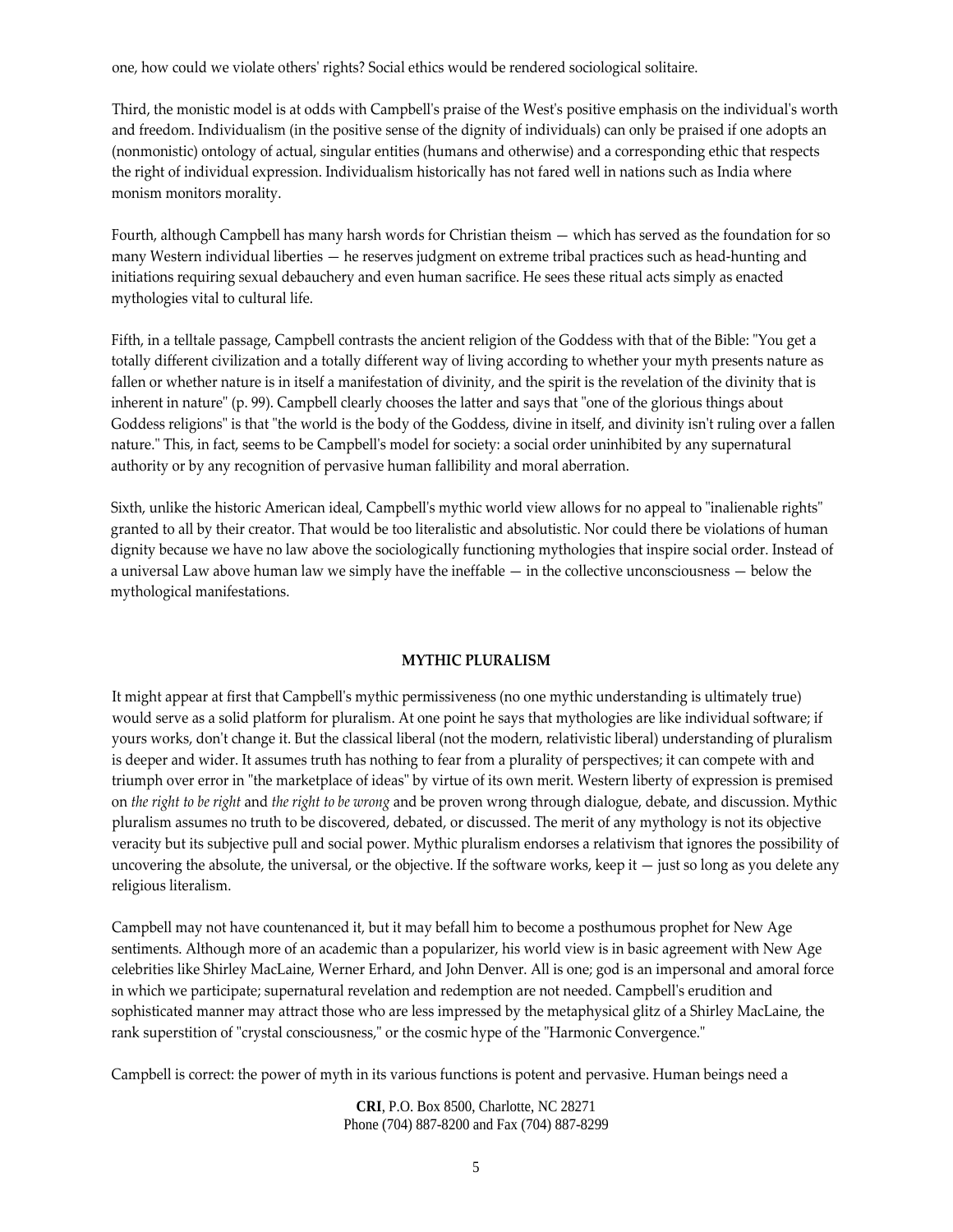one, how could we violate othersʹ rights? Social ethics would be rendered sociological solitaire.

Third, the monistic model is at odds with Campbellʹs praise of the Westʹs positive emphasis on the individualʹs worth and freedom. Individualism (in the positive sense of the dignity of individuals) can only be praised if one adopts an (nonmonistic) ontology of actual, singular entities (humans and otherwise) and a corresponding ethic that respects the right of individual expression. Individualism historically has not fared well in nations such as India where monism monitors morality.

Fourth, although Campbell has many harsh words for Christian theism — which has served as the foundation for so many Western individual liberties — he reserves judgment on extreme tribal practices such as head‐hunting and initiations requiring sexual debauchery and even human sacrifice. He sees these ritual acts simply as enacted mythologies vital to cultural life.

Fifth, in a telltale passage, Campbell contrasts the ancient religion of the Goddess with that of the Bible: "You get a totally different civilization and a totally different way of living according to whether your myth presents nature as fallen or whether nature is in itself a manifestation of divinity, and the spirit is the revelation of the divinity that is inherent in nature" (p. 99). Campbell clearly chooses the latter and says that "one of the glorious things about Goddess religions" is that "the world is the body of the Goddess, divine in itself, and divinity isn't ruling over a fallen nature.ʺ This, in fact, seems to be Campbellʹs model for society: a social order uninhibited by any supernatural authority or by any recognition of pervasive human fallibility and moral aberration.

Sixth, unlike the historic American ideal, Campbell's mythic world view allows for no appeal to "inalienable rights" granted to all by their creator. That would be too literalistic and absolutistic. Nor could there be violations of human dignity because we have no law above the sociologically functioning mythologies that inspire social order. Instead of a universal Law above human law we simply have the ineffable — in the collective unconsciousness — below the mythological manifestations.

#### **MYTHIC PLURALISM**

It might appear at first that Campbellʹs mythic permissiveness (no one mythic understanding is ultimately true) would serve as a solid platform for pluralism. At one point he says that mythologies are like individual software; if yours works, don't change it. But the classical liberal (not the modern, relativistic liberal) understanding of pluralism is deeper and wider. It assumes truth has nothing to fear from a plurality of perspectives; it can compete with and triumph over error in "the marketplace of ideas" by virtue of its own merit. Western liberty of expression is premised on *the right to be right* and *the right to be wrong* and be proven wrong through dialogue, debate, and discussion. Mythic pluralism assumes no truth to be discovered, debated, or discussed. The merit of any mythology is not its objective veracity but its subjective pull and social power. Mythic pluralism endorses a relativism that ignores the possibility of uncovering the absolute, the universal, or the objective. If the software works, keep it  $-$  just so long as you delete any religious literalism.

Campbell may not have countenanced it, but it may befall him to become a posthumous prophet for New Age sentiments. Although more of an academic than a popularizer, his world view is in basic agreement with New Age celebrities like Shirley MacLaine, Werner Erhard, and John Denver. All is one; god is an impersonal and amoral force in which we participate; supernatural revelation and redemption are not needed. Campbellʹs erudition and sophisticated manner may attract those who are less impressed by the metaphysical glitz of a Shirley MacLaine, the rank superstition of "crystal consciousness," or the cosmic hype of the "Harmonic Convergence."

Campbell is correct: the power of myth in its various functions is potent and pervasive. Human beings need a